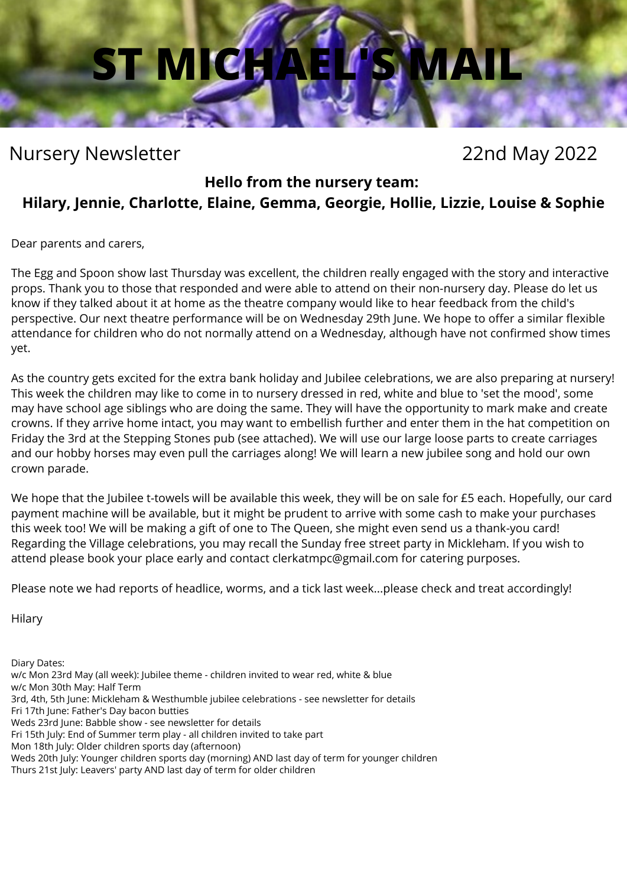## **ST MICH**

### Nursery Newsletter 22nd May 2022

#### **Hello from the nursery team:**

#### **Hilary, Jennie, Charlotte, Elaine, Gemma, Georgie, Hollie, Lizzie, Louise & Sophie**

Dear parents and carers,

The Egg and Spoon show last Thursday was excellent, the children really engaged with the story and interactive props. Thank you to those that responded and were able to attend on their non-nursery day. Please do let us know if they talked about it at home as the theatre company would like to hear feedback from the child's perspective. Our next theatre performance will be on Wednesday 29th June. We hope to offer a similar flexible attendance for children who do not normally attend on a Wednesday, although have not confirmed show times yet.

As the country gets excited for the extra bank holiday and Jubilee celebrations, we are also preparing at nursery! This week the children may like to come in to nursery dressed in red, white and blue to 'set the mood', some may have school age siblings who are doing the same. They will have the opportunity to mark make and create crowns. If they arrive home intact, you may want to embellish further and enter them in the hat competition on Friday the 3rd at the Stepping Stones pub (see attached). We will use our large loose parts to create carriages and our hobby horses may even pull the carriages along! We will learn a new jubilee song and hold our own crown parade.

We hope that the Jubilee t-towels will be available this week, they will be on sale for £5 each. Hopefully, our card payment machine will be available, but it might be prudent to arrive with some cash to make your purchases this week too! We will be making a gift of one to The Queen, she might even send us a thank-you card! Regarding the Village celebrations, you may recall the Sunday free street party in Mickleham. If you wish to attend please book your place early and contact [clerkatmpc@gmail.com](mailto:clerkatmpc@gmail.com) for catering purposes.

Please note we had reports of headlice, worms, and a tick last week...please check and treat accordingly!

Hilary

Diary Dates:

w/c Mon 23rd May (all week): Jubilee theme - children invited to wear red, white & blue

w/c Mon 30th May: Half Term

- 3rd, 4th, 5th June: Mickleham & Westhumble jubilee celebrations see newsletter for details
- Fri 17th June: Father's Day bacon butties
- Weds 23rd June: Babble show see newsletter for details
- Fri 15th July: End of Summer term play all children invited to take part
- Mon 18th July: Older children sports day (afternoon)
- Weds 20th July: Younger children sports day (morning) AND last day of term for younger children
- Thurs 21st July: Leavers' party AND last day of term for older children